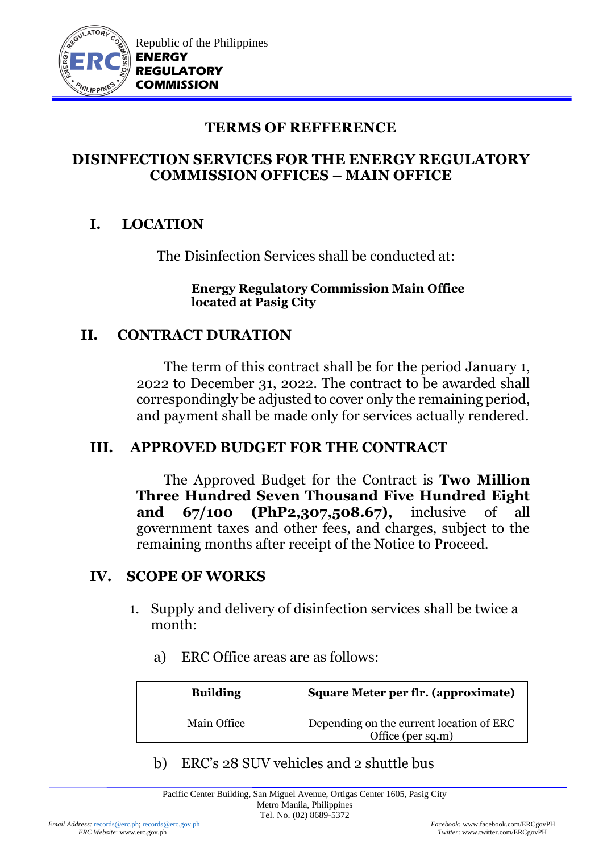

### **DISINFECTION SERVICES FOR THE ENERGY REGULATORY COMMISSION OFFICES – MAIN OFFICE**

## **I. LOCATION**

The Disinfection Services shall be conducted at:

#### **Energy Regulatory Commission Main Office located at Pasig City**

### **II. CONTRACT DURATION**

The term of this contract shall be for the period January 1, 2022 to December 31, 2022. The contract to be awarded shall correspondingly be adjusted to cover only the remaining period, and payment shall be made only for services actually rendered.

## **III. APPROVED BUDGET FOR THE CONTRACT**

 The Approved Budget for the Contract is **Two Million Three Hundred Seven Thousand Five Hundred Eight and 67/100 (PhP2,307,508.67),** inclusive of all government taxes and other fees, and charges, subject to the remaining months after receipt of the Notice to Proceed.

### **IV. SCOPE OF WORKS**

- 1. Supply and delivery of disinfection services shall be twice a month:
	- a) ERC Office areas are as follows:

| <b>Building</b> | Square Meter per flr. (approximate)                           |
|-----------------|---------------------------------------------------------------|
| Main Office     | Depending on the current location of ERC<br>Office (per sq.m) |

b) ERC's 28 SUV vehicles and 2 shuttle bus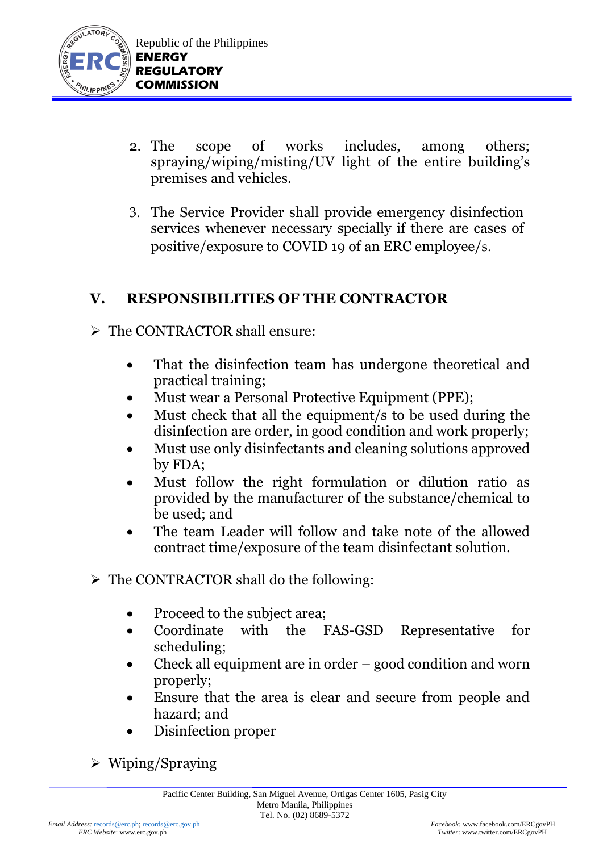

- 2. The scope of works includes, among others; spraying/wiping/misting/UV light of the entire building's premises and vehicles.
- 3. The Service Provider shall provide emergency disinfection services whenever necessary specially if there are cases of positive/exposure to COVID 19 of an ERC employee/s.

## **V. RESPONSIBILITIES OF THE CONTRACTOR**

- ➢ The CONTRACTOR shall ensure:
	- That the disinfection team has undergone theoretical and practical training;
	- Must wear a Personal Protective Equipment (PPE);
	- Must check that all the equipment/s to be used during the disinfection are order, in good condition and work properly;
	- Must use only disinfectants and cleaning solutions approved by FDA;
	- Must follow the right formulation or dilution ratio as provided by the manufacturer of the substance/chemical to be used; and
	- The team Leader will follow and take note of the allowed contract time/exposure of the team disinfectant solution.
- ➢ The CONTRACTOR shall do the following:
	- Proceed to the subject area;
	- Coordinate with the FAS-GSD Representative for scheduling;
	- Check all equipment are in order good condition and worn properly;
	- Ensure that the area is clear and secure from people and hazard; and
	- Disinfection proper

➢ Wiping/Spraying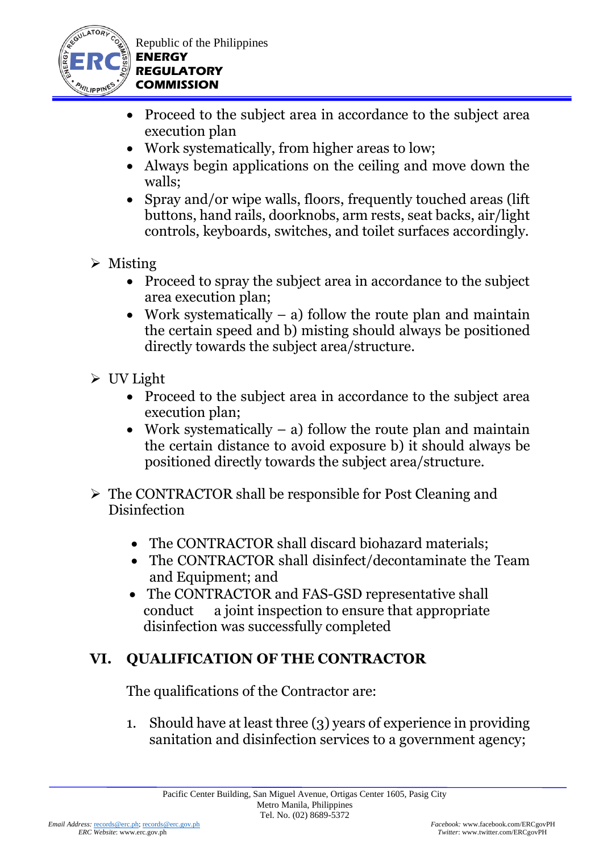

Republic of the Philippines **ENERGY REGULATORY COMMISSION**

- Proceed to the subject area in accordance to the subject area execution plan
- Work systematically, from higher areas to low;
- Always begin applications on the ceiling and move down the walls;
- Spray and/or wipe walls, floors, frequently touched areas (lift) buttons, hand rails, doorknobs, arm rests, seat backs, air/light controls, keyboards, switches, and toilet surfaces accordingly.
- ➢ Misting
	- Proceed to spray the subject area in accordance to the subject area execution plan;
	- Work systematically a) follow the route plan and maintain the certain speed and b) misting should always be positioned directly towards the subject area/structure.
- ➢ UV Light
	- Proceed to the subject area in accordance to the subject area execution plan;
	- Work systematically  $-$  a) follow the route plan and maintain the certain distance to avoid exposure b) it should always be positioned directly towards the subject area/structure.
- ➢ The CONTRACTOR shall be responsible for Post Cleaning and Disinfection
	- The CONTRACTOR shall discard biohazard materials:
	- The CONTRACTOR shall disinfect/decontaminate the Team and Equipment; and
	- The CONTRACTOR and FAS-GSD representative shall conduct a joint inspection to ensure that appropriate disinfection was successfully completed

# **VI. QUALIFICATION OF THE CONTRACTOR**

The qualifications of the Contractor are:

1. Should have at least three (3) years of experience in providing sanitation and disinfection services to a government agency;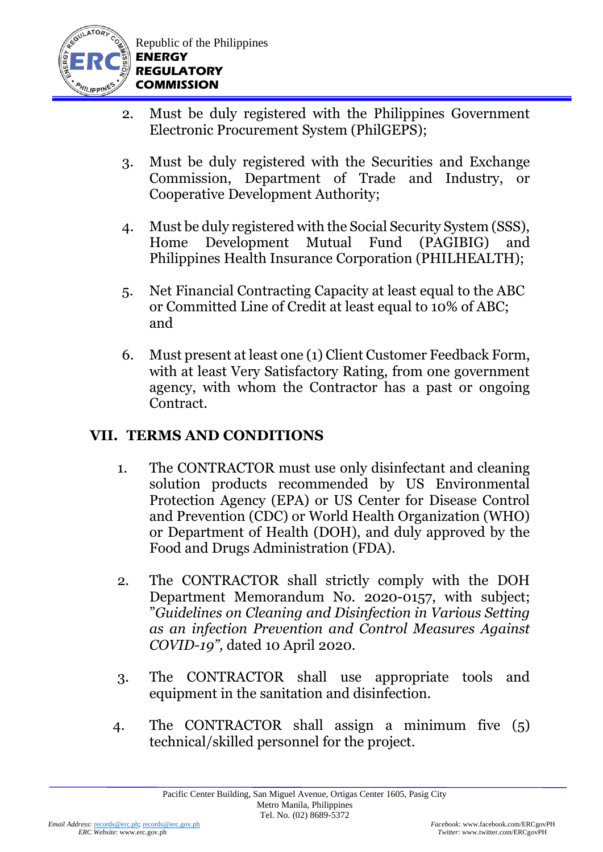

- 2. Must be duly registered with the Philippines Government Electronic Procurement System (PhilGEPS);
- 3. Must be duly registered with the Securities and Exchange Commission, Department of Trade and Industry, or Cooperative Development Authority;
- 4. Must be duly registered with the Social Security System (SSS), Home Development Mutual Fund (PAGIBIG) and Philippines Health Insurance Corporation (PHILHEALTH);
- 5. Net Financial Contracting Capacity at least equal to the ABC or Committed Line of Credit at least equal to 10% of ABC; and
- 6. Must present at least one (1) Client Customer Feedback Form, with at least Very Satisfactory Rating, from one government agency, with whom the Contractor has a past or ongoing Contract.

## **VII. TERMS AND CONDITIONS**

- 1. The CONTRACTOR must use only disinfectant and cleaning solution products recommended by US Environmental Protection Agency (EPA) or US Center for Disease Control and Prevention (CDC) or World Health Organization (WHO) or Department of Health (DOH), and duly approved by the Food and Drugs Administration (FDA).
- 2. The CONTRACTOR shall strictly comply with the DOH Department Memorandum No. 2020-0157, with subject; "*Guidelines on Cleaning and Disinfection in Various Setting as an infection Prevention and Control Measures Against COVID-19",* dated 10 April 2020.
- 3. The CONTRACTOR shall use appropriate tools and equipment in the sanitation and disinfection.
- 4. The CONTRACTOR shall assign a minimum five (5) technical/skilled personnel for the project.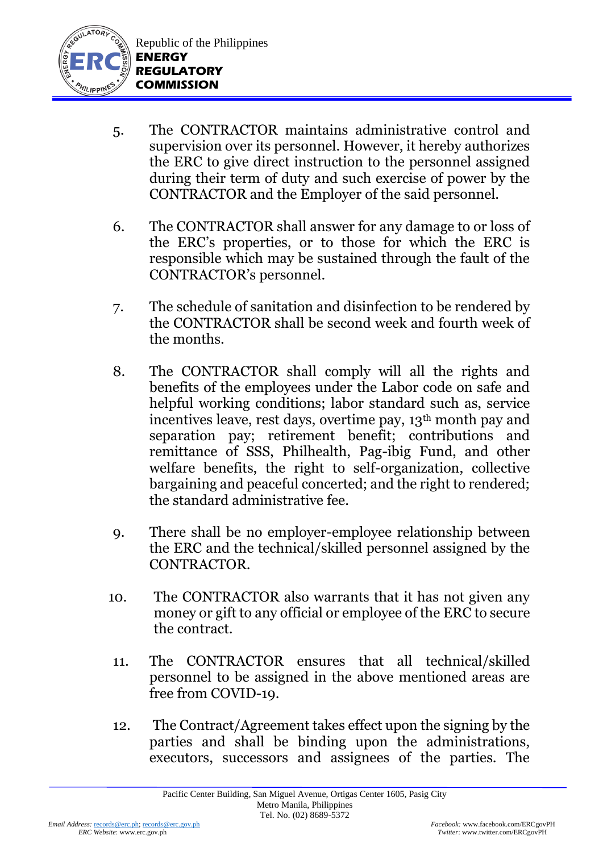

- 5. The CONTRACTOR maintains administrative control and supervision over its personnel. However, it hereby authorizes the ERC to give direct instruction to the personnel assigned during their term of duty and such exercise of power by the CONTRACTOR and the Employer of the said personnel.
- 6. The CONTRACTOR shall answer for any damage to or loss of the ERC's properties, or to those for which the ERC is responsible which may be sustained through the fault of the CONTRACTOR's personnel.
- 7. The schedule of sanitation and disinfection to be rendered by the CONTRACTOR shall be second week and fourth week of the months.
- 8. The CONTRACTOR shall comply will all the rights and benefits of the employees under the Labor code on safe and helpful working conditions; labor standard such as, service incentives leave, rest days, overtime pay, 13<sup>th</sup> month pay and separation pay; retirement benefit; contributions and remittance of SSS, Philhealth, Pag-ibig Fund, and other welfare benefits, the right to self-organization, collective bargaining and peaceful concerted; and the right to rendered; the standard administrative fee.
- 9. There shall be no employer-employee relationship between the ERC and the technical/skilled personnel assigned by the CONTRACTOR.
- 10. The CONTRACTOR also warrants that it has not given any money or gift to any official or employee of the ERC to secure the contract.
- 11. The CONTRACTOR ensures that all technical/skilled personnel to be assigned in the above mentioned areas are free from COVID-19.
- 12. The Contract/Agreement takes effect upon the signing by the parties and shall be binding upon the administrations, executors, successors and assignees of the parties. The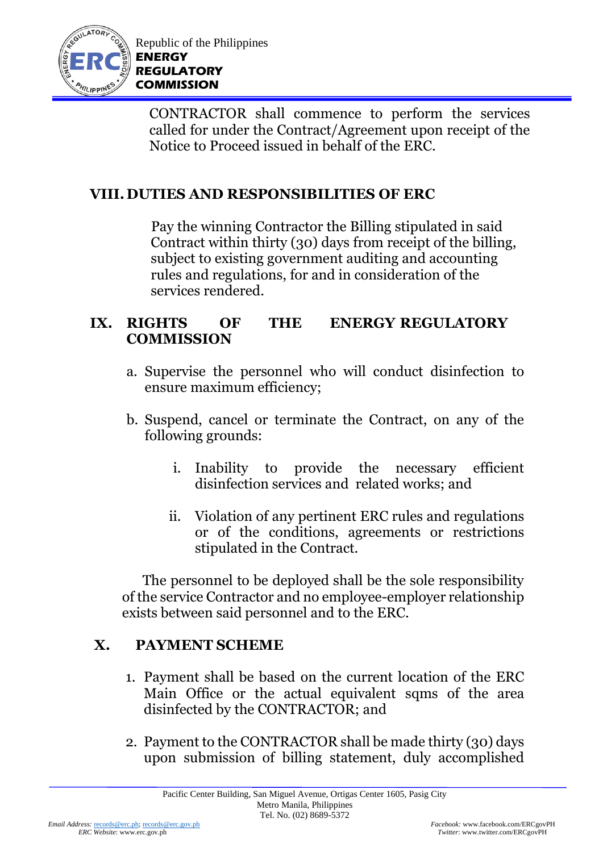

CONTRACTOR shall commence to perform the services called for under the Contract/Agreement upon receipt of the Notice to Proceed issued in behalf of the ERC.

## **VIII. DUTIES AND RESPONSIBILITIES OF ERC**

Pay the winning Contractor the Billing stipulated in said Contract within thirty (30) days from receipt of the billing, subject to existing government auditing and accounting rules and regulations, for and in consideration of the services rendered.

#### **IX. RIGHTS OF THE ENERGY REGULATORY COMMISSION**

- a. Supervise the personnel who will conduct disinfection to ensure maximum efficiency;
- b. Suspend, cancel or terminate the Contract, on any of the following grounds:
	- i. Inability to provide the necessary efficient disinfection services and related works; and
	- ii. Violation of any pertinent ERC rules and regulations or of the conditions, agreements or restrictions stipulated in the Contract.

 The personnel to be deployed shall be the sole responsibility of the service Contractor and no employee-employer relationship exists between said personnel and to the ERC.

## **X. PAYMENT SCHEME**

- 1. Payment shall be based on the current location of the ERC Main Office or the actual equivalent sqms of the area disinfected by the CONTRACTOR; and
- 2. Payment to the CONTRACTOR shall be made thirty (30) days upon submission of billing statement, duly accomplished